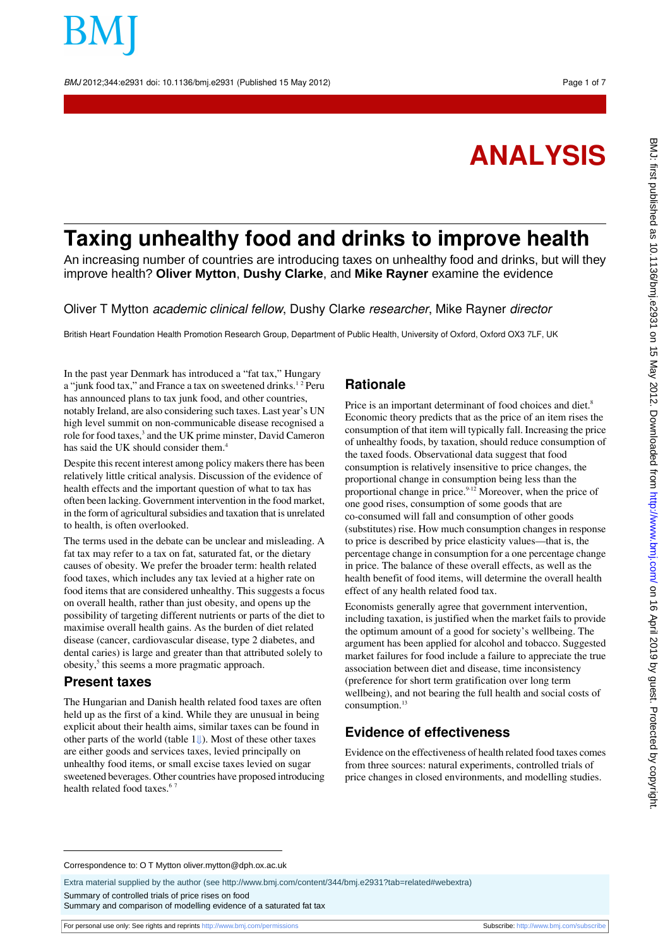BMJ 2012;344:e2931 doi: 10.1136/bmj.e2931 (Published 15 May 2012) Page 1 of 7

**ANALYSIS**

# **Taxing unhealthy food and drinks to improve health**

An increasing number of countries are introducing taxes on unhealthy food and drinks, but will they improve health? **Oliver Mytton**, **Dushy Clarke**, and **Mike Rayner** examine the evidence

Oliver T Mytton academic clinical fellow, Dushy Clarke researcher, Mike Rayner director

British Heart Foundation Health Promotion Research Group, Department of Public Health, University of Oxford, Oxford OX3 7LF, UK

In the past year Denmark has introduced a "fat tax," Hungary a "junk food tax," and France a tax on sweetened drinks.<sup>12</sup> Peru has announced plans to tax junk food, and other countries, notably Ireland, are also considering such taxes. Last year's UN high level summit on non-communicable disease recognised a role for food taxes,<sup>3</sup> and the UK prime minster, David Cameron has said the UK should consider them.<sup>4</sup>

Despite this recent interest among policy makers there has been relatively little critical analysis. Discussion of the evidence of health effects and the important question of what to tax has often been lacking. Government intervention in the food market, in the form of agricultural subsidies and taxation that is unrelated to health, is often overlooked.

The terms used in the debate can be unclear and misleading. A fat tax may refer to a tax on fat, saturated fat, or the dietary causes of obesity. We prefer the broader term: health related food taxes, which includes any tax levied at a higher rate on food items that are considered unhealthy. This suggests a focus on overall health, rather than just obesity, and opens up the possibility of targeting different nutrients or parts of the diet to maximise overall health gains. As the burden of diet related disease (cancer, cardiovascular disease, type 2 diabetes, and dental caries) is large and greater than that attributed solely to obesity,<sup>5</sup> this seems a more pragmatic approach.

#### **Present taxes**

The Hungarian and Danish health related food taxes are often held up as the first of a kind. While they are unusual in being explicit about their health aims, similar taxes can be found in other parts of the world (table [1⇓\)](#page-4-0). Most of these other taxes are either goods and services taxes, levied principally on unhealthy food items, or small excise taxes levied on sugar sweetened beverages. Other countries have proposed introducing health related food taxes.<sup>6</sup>

## **Rationale**

Price is an important determinant of food choices and diet.<sup>8</sup> Economic theory predicts that as the price of an item rises the consumption of that item will typically fall. Increasing the price of unhealthy foods, by taxation, should reduce consumption of the taxed foods. Observational data suggest that food consumption is relatively insensitive to price changes, the proportional change in consumption being less than the proportional change in price. $9-12$  Moreover, when the price of one good rises, consumption of some goods that are co-consumed will fall and consumption of other goods (substitutes) rise. How much consumption changes in response to price is described by price elasticity values—that is, the percentage change in consumption for a one percentage change in price. The balance of these overall effects, as well as the health benefit of food items, will determine the overall health effect of any health related food tax.

Economists generally agree that government intervention, including taxation, is justified when the market fails to provide the optimum amount of a good for society's wellbeing. The argument has been applied for alcohol and tobacco. Suggested market failures for food include a failure to appreciate the true association between diet and disease, time inconsistency (preference for short term gratification over long term wellbeing), and not bearing the full health and social costs of consumption.<sup>13</sup>

# **Evidence of effectiveness**

Evidence on the effectiveness of health related food taxes comes from three sources: natural experiments, controlled trials of price changes in closed environments, and modelling studies.

Correspondence to: O T Mytton oliver.mytton@dph.ox.ac.uk

Extra material supplied by the author (see [http://www.bmj.com/content/344/bmj.e2931?tab=related#webextra\)](http://www.bmj.com/content/344/bmj.e2931?tab=related#webextra)

Summary of controlled trials of price rises on food

Summary and comparison of modelling evidence of a saturated fat tax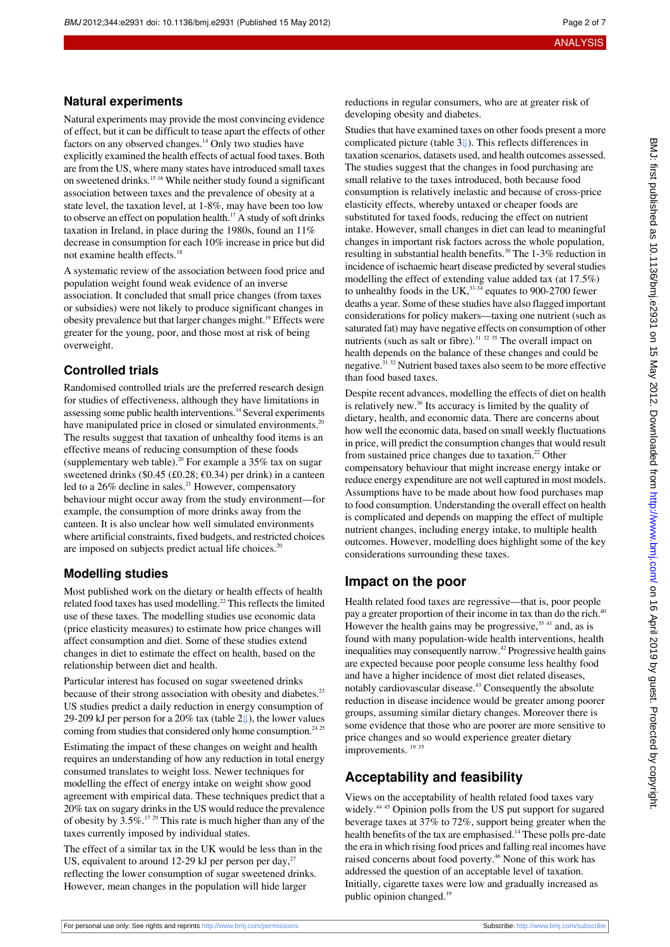#### **Natural experiments**

Natural experiments may provide the most convincing evidence of effect, but it can be difficult to tease apart the effects of other factors on any observed changes.<sup>14</sup> Only two studies have explicitly examined the health effects of actual food taxes. Both are from the US, where many states have introduced small taxes on sweetened drinks.15 16 While neither study found a significant association between taxes and the prevalence of obesity at a state level, the taxation level, at 1-8%, may have been too low to observe an effect on population health.<sup>17</sup> A study of soft drinks taxation in Ireland, in place during the 1980s, found an 11% decrease in consumption for each 10% increase in price but did not examine health effects.<sup>18</sup>

A systematic review of the association between food price and population weight found weak evidence of an inverse association. It concluded that small price changes (from taxes or subsidies) were not likely to produce significant changes in obesity prevalence but that larger changes might.<sup>19</sup> Effects were greater for the young, poor, and those most at risk of being overweight.

## **Controlled trials**

Randomised controlled trials are the preferred research design for studies of effectiveness, although they have limitations in assessing some public health interventions.<sup>14</sup> Several experiments have manipulated price in closed or simulated environments.<sup>20</sup> The results suggest that taxation of unhealthy food items is an effective means of reducing consumption of these foods (supplementary web table).<sup>20</sup> For example a  $35\%$  tax on sugar sweetened drinks (\$0.45 (£0.28;  $\epsilon$ 0.34) per drink) in a canteen led to a 26% decline in sales.<sup>21</sup> However, compensatory behaviour might occur away from the study environment—for example, the consumption of more drinks away from the canteen. It is also unclear how well simulated environments where artificial constraints, fixed budgets, and restricted choices are imposed on subjects predict actual life choices.<sup>20</sup>

## **Modelling studies**

Most published work on the dietary or health effects of health related food taxes has used modelling.<sup>22</sup> This reflects the limited use of these taxes. The modelling studies use economic data (price elasticity measures) to estimate how price changes will affect consumption and diet. Some of these studies extend changes in diet to estimate the effect on health, based on the relationship between diet and health.

Particular interest has focused on sugar sweetened drinks because of their strong association with obesity and diabetes.<sup>23</sup> US studies predict a daily reduction in energy consumption of 29-209 kJ per person for a 20% tax (table2[⇓\)](#page-5-0), the lower values coming from studies that considered only home consumption.<sup>24 25</sup>

Estimating the impact of these changes on weight and health requires an understanding of how any reduction in total energy consumed translates to weight loss. Newer techniques for modelling the effect of energy intake on weight show good agreement with empirical data. These techniques predict that a 20% tax on sugary drinks in the US would reduce the prevalence of obesity by 3.5%.17 29 This rate is much higher than any of the taxes currently imposed by individual states.

The effect of a similar tax in the UK would be less than in the US, equivalent to around 12-29 kJ per person per day, $^{27}$ reflecting the lower consumption of sugar sweetened drinks. However, mean changes in the population will hide larger

reductions in regular consumers, who are at greater risk of developing obesity and diabetes.

Studies that have examined taxes on other foods present a more complicated picture (table3[⇓\)](#page-6-0). This reflects differences in taxation scenarios, datasets used, and health outcomes assessed. The studies suggest that the changes in food purchasing are small relative to the taxes introduced, both because food consumption is relatively inelastic and because of cross-price elasticity effects, whereby untaxed or cheaper foods are substituted for taxed foods, reducing the effect on nutrient intake. However, small changes in diet can lead to meaningful changes in important risk factors across the whole population, resulting in substantial health benefits.<sup>30</sup> The 1-3% reduction in incidence of ischaemic heart disease predicted by several studies modelling the effect of extending value added tax (at 17.5%) to unhealthy foods in the UK, $^{31-34}$  equates to 900-2700 fewer deaths a year. Some of these studies have also flagged important considerations for policy makers—taxing one nutrient (such as saturated fat) may have negative effects on consumption of other nutrients (such as salt or fibre). $31 \frac{32}{35}$  The overall impact on health depends on the balance of these changes and could be negative.31 32 Nutrient based taxes also seem to be more effective than food based taxes.

Despite recent advances, modelling the effects of diet on health is relatively new.<sup>36</sup> Its accuracy is limited by the quality of dietary, health, and economic data. There are concerns about how well the economic data, based on small weekly fluctuations in price, will predict the consumption changes that would result from sustained price changes due to taxation.<sup>22</sup> Other compensatory behaviour that might increase energy intake or reduce energy expenditure are not well captured in most models. Assumptions have to be made about how food purchases map to food consumption. Understanding the overall effect on health is complicated and depends on mapping the effect of multiple nutrient changes, including energy intake, to multiple health outcomes. However, modelling does highlight some of the key considerations surrounding these taxes.

# **Impact on the poor**

Health related food taxes are regressive—that is, poor people pay a greater proportion of their income in tax than do the rich.<sup>40</sup> However the health gains may be progressive,  $35 41$  and, as is found with many population-wide health interventions, health inequalities may consequently narrow.<sup>42</sup> Progressive health gains are expected because poor people consume less healthy food and have a higher incidence of most diet related diseases, notably cardiovascular disease.<sup>43</sup> Consequently the absolute reduction in disease incidence would be greater among poorer groups, assuming similar dietary changes. Moreover there is some evidence that those who are poorer are more sensitive to price changes and so would experience greater dietary improvements.<sup>1935</sup>

# **Acceptability and feasibility**

Views on the acceptability of health related food taxes vary widely.<sup>44 45</sup> Opinion polls from the US put support for sugared beverage taxes at 37% to 72%, support being greater when the health benefits of the tax are emphasised.<sup>14</sup> These polls pre-date the era in which rising food prices and falling real incomes have raised concerns about food poverty.<sup>46</sup> None of this work has addressed the question of an acceptable level of taxation. Initially, cigarette taxes were low and gradually increased as public opinion changed.<sup>19</sup>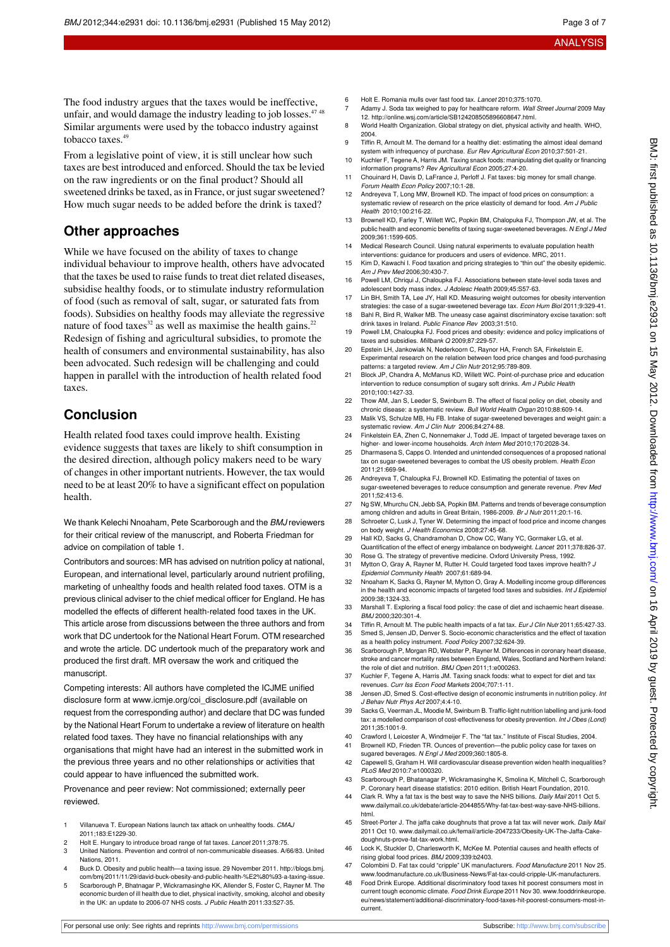The food industry argues that the taxes would be ineffective, unfair, and would damage the industry leading to job losses.<sup>47</sup> <sup>48</sup> Similar arguments were used by the tobacco industry against tobacco taxes.<sup>49</sup>

From a legislative point of view, it is still unclear how such taxes are best introduced and enforced. Should the tax be levied on the raw ingredients or on the final product? Should all sweetened drinks be taxed, as in France, or just sugar sweetened? How much sugar needs to be added before the drink is taxed?

# **Other approaches**

While we have focused on the ability of taxes to change individual behaviour to improve health, others have advocated that the taxes be used to raise funds to treat diet related diseases, subsidise healthy foods, or to stimulate industry reformulation of food (such as removal of salt, sugar, or saturated fats from foods). Subsidies on healthy foods may alleviate the regressive nature of food taxes<sup>32</sup> as well as maximise the health gains.<sup>22</sup> Redesign of fishing and agricultural subsidies, to promote the health of consumers and environmental sustainability, has also been advocated. Such redesign will be challenging and could happen in parallel with the introduction of health related food taxes.

# **Conclusion**

Health related food taxes could improve health. Existing evidence suggests that taxes are likely to shift consumption in the desired direction, although policy makers need to be wary of changes in other important nutrients. However, the tax would need to be at least 20% to have a significant effect on population health.

We thank Kelechi Nnoaham, Pete Scarborough and the **BMJ** reviewers for their critical review of the manuscript, and Roberta Friedman for advice on compilation of table 1.

Contributors and sources: MR has advised on nutrition policy at national, European, and international level, particularly around nutrient profiling, marketing of unhealthy foods and health related food taxes. OTM is a previous clinical adviser to the chief medical officer for England. He has modelled the effects of different health-related food taxes in the UK. This article arose from discussions between the three authors and from work that DC undertook for the National Heart Forum. OTM researched and wrote the article. DC undertook much of the preparatory work and produced the first draft. MR oversaw the work and critiqued the manuscript.

Competing interests: All authors have completed the ICJME unified disclosure form at [www.icmje.org/coi\\_disclosure.pdf](http://www.icmje.org/coi_disclosure.pdf) (available on request from the corresponding author) and declare that DC was funded by the National Heart Forum to undertake a review of literature on health related food taxes. They have no financial relationships with any organisations that might have had an interest in the submitted work in the previous three years and no other relationships or activities that could appear to have influenced the submitted work.

Provenance and peer review: Not commissioned; externally peer reviewed.

- 1 Villanueva T. European Nations launch tax attack on unhealthy foods. CMAJ 2011;183:E1229-30.
- 2 Holt E. Hungary to introduce broad range of fat taxes. Lancet 2011;378:75.
- 3 United Nations. Prevention and control of non-communicable diseases. A/66/83. United Nations, 2011.
- 4 Buck D. Obesity and public health—a taxing issue. 29 November 2011. [http://blogs.bmj.](http://blogs.bmj.com/bmj/2011/11/29/david-buck-obesity-and-public-health-%E2%80%93-a-taxing-issue) [com/bmj/2011/11/29/david-buck-obesity-and-public-health-%E2%80%93-a-taxing-issue](http://blogs.bmj.com/bmj/2011/11/29/david-buck-obesity-and-public-health-%E2%80%93-a-taxing-issue).
- 5 Scarborough P, Bhatnagar P, Wickramasinghe KK, Allender S, Foster C, Rayner M. The economic burden of ill health due to diet, physical inactivity, smoking, alcohol and obesity in the UK: an update to 2006-07 NHS costs. J Public Health 2011:33:527-35.
- 6 Holt E. Romania mulls over fast food tax. Lancet 2010;375:1070.
- Adamy J. Soda tax weighed to pay for healthcare reform. Wall Street Journal 2009 May 12.<http://online.wsj.com/article/SB124208505896608647.html>.
- 8 World Health Organization. Global strategy on diet, physical activity and health. WHO, 2004.
- Tiffin R, Arnoult M. The demand for a healthy diet: estimating the almost ideal demand system with infrequency of purchase. Eur Rev Agricultural Econ 2010;37:501-21.
- 10 Kuchler F, Tegene A, Harris JM. Taxing snack foods: manipulating diet quality or financing information programs? Rev Agricultural Econ 2005;27:4-20.
- 11 Chouinard H, Davis D, LaFrance J, Perloff J. Fat taxes: big money for small change. Forum Health Econ Policy 2007;10:1-28.
- 12 Andreyeva T, Long MW, Brownell KD. The impact of food prices on consumption: a systematic review of research on the price elasticity of demand for food. Am J Public Health 2010;100:216-22.
- 13 Brownell KD, Farley T, Willett WC, Popkin BM, Chalopuka FJ, Thompson JW, et al. The public health and economic benefits of taxing sugar-sweetened beverages. N Engl J Med 2009;361:1599-605.
- 14 Medical Research Council. Using natural experiments to evaluate population health
- interventions: guidance for producers and users of evidence. MRC, 2011. 15 Kim D, Kawachi I. Food taxation and pricing strategies to "thin out" the obesity epidemic. Am J Prev Med 2006;30:430-7.
- 16 Powell LM, Chriqui J, Chaloupka FJ. Associations between state-level soda taxes and adolescent body mass index. J Adolesc Health 2009;45:S57-63.
- 17 Lin BH, Smith TA, Lee JY, Hall KD. Measuring weight outcomes for obesity intervention strategies: the case of a sugar-sweetened beverage tax. Econ Hum Biol 2011;9:329-41. 18 Bahl R, Bird R, Walker MB. The uneasy case against discriminatory excise taxation: soft
- drink taxes in Ireland. Public Finance Rev 2003;31:510.
- 19 Powell LM, Chaloupka FJ. Food prices and obesity: evidence and policy implications of taxes and subsidies. Millbank Q 2009;87:229-57.
- 20 Epstein LH, Jankowiak N, Nederkoorn C, Raynor HA, French SA, Finkelstein E. Experimental research on the relation between food price changes and food-purchasing patterns: a targeted review. Am J Clin Nutr 2012;95:789-809.
- 21 Block JP, Chandra A, McManus KD, Willett WC. Point-of-purchase price and education intervention to reduce consumption of sugary soft drinks. Am J Public Health 2010;100:1427-33.
- 22 Thow AM, Jan S, Leeder S, Swinburn B. The effect of fiscal policy on diet, obesity and chronic disease: a systematic review. Bull World Health Organ 2010;88:609-14.
- 23 Malik VS, Schulze MB, Hu FB. Intake of sugar-sweetened beverages and weight gain: a systematic review. Am J Clin Nutr 2006;84:274-88.
- 24 Finkelstein EA, Zhen C, Nonnemaker J, Todd JE. Impact of targeted beverage taxes on higher- and lower-income households. Arch Intern Med 2010;170:2028-34.
- 25 Dharmasena S, Capps O. Intended and unintended consequences of a proposed national tax on sugar-sweetened beverages to combat the US obesity problem. Health Econ 2011;21:669-94.
- 26 Andreyeva T, Chaloupka FJ, Brownell KD. Estimating the potential of taxes on sugar-sweetened beverages to reduce consumption and generate revenue. Prev Med 2011;52:413-6.
- 27 Ng SW, Mhurchu CN, Jebb SA, Popkin BM. Patterns and trends of beverage consu among children and adults in Great Britain, 1986-2009. Br J Nutr 2011;20:1-16.
- 28 Schroeter C, Lusk J, Tyner W. Determining the impact of food price and income changes on body weight. J Health Economics 2008;27:45-68.
- 29 Hall KD, Sacks G, Chandramohan D, Chow CC, Wany YC, Gormaker LG, et al. Quantification of the effect of energy imbalance on bodyweight. Lancet 2011;378:826-37.
- 30 Rose G. The strategy of preventive medicine. Oxford University Press, 1992.
- Mytton O, Gray A, Rayner M, Rutter H. Could targeted food taxes improve health? J Epidemiol Community Health 2007;61:689-94.
- 32 Nnoaham K, Sacks G, Rayner M, Mytton O, Gray A. Modelling income group differences in the health and economic impacts of targeted food taxes and subsidies. Int J Epidemiol 2009:38;1324-33.
- 33 Marshall T. Exploring a fiscal food policy: the case of diet and ischaemic heart disease. BMJ 2000;320:301-4.
- Tiffin R, Arnoult M. The public health impacts of a fat tax. Eur J Clin Nutr 2011;65:427-33. 35 Smed S, Jensen JD, Denver S. Socio-economic characteristics and the effect of taxation
- as a health policy instrument. Food Policy 2007;32:624-39. Scarborough P, Morgan RD, Webster P, Rayner M. Differences in coronary heart disease, stroke and cancer mortality rates between England, Wales, Scotland and Northern Ireland:
- the role of diet and nutrition. BMJ Open 2011;1:e000263. 37 Kuchler F, Tegene A, Harris JM. Taxing snack foods: what to expect for diet and tax revenues. Curr Iss Econ Food Markets 2004;707:1-11.
- 38 Jensen JD, Smed S. Cost-effective design of economic instruments in nutrition policy. Int J Behav Nutr Phys Act 2007;4:4-10.
- 39 Sacks G, Veerman JL, Moodie M, Swinburn B. Traffic-light nutrition labelling and junk-food tax: a modelled comparison of cost-effectiveness for obesity prevention. Int J Obes (Lond) 2011;35:1001-9.
- 40 Crawford I, Leicester A, Windmeijer F. The "fat tax." Institute of Fiscal Studies, 2004. Brownell KD, Frieden TR. Ounces of prevention-the public policy case for taxes on
- sugared beverages. N Engl J Med 2009;360:1805-8.
- 42 Capewell S, Graham H. Will cardiovascular disease prevention widen health inequalities? PLoS Med 2010:7:e1000320.
- 43 Scarborough P, Bhatanagar P, Wickramasinghe K, Smolina K, Mitchell C, Scarborough P. Coronary heart disease statistics: 2010 edition. British Heart Foundation, 2010.
- 44 Clark R. Why a fat tax is the best way to save the NHS billions. Daily Mail 2011 Oct 5. [www.dailymail.co.uk/debate/article-2044855/Why-fat-tax-best-way-save-NHS-billions.](http://www.dailymail.co.uk/debate/article-2044855/Why-fat-tax-best-way-save-NHS-billions.html) [html](http://www.dailymail.co.uk/debate/article-2044855/Why-fat-tax-best-way-save-NHS-billions.html).
- 45 Street-Porter J. The jaffa cake doughnuts that prove a fat tax will never work. Daily Mail 2011 Oct 10. [www.dailymail.co.uk/femail/article-2047233/Obesity-UK-The-Jaffa-Cake](http://www.dailymail.co.uk/femail/article-2047233/Obesity-UK-The-Jaffa-Cake-doughnuts-prove-fat-tax-work.html)[doughnuts-prove-fat-tax-work.html](http://www.dailymail.co.uk/femail/article-2047233/Obesity-UK-The-Jaffa-Cake-doughnuts-prove-fat-tax-work.html).
- 46 Lock K, Stuckler D, Charlesworth K, McKee M. Potential causes and health effects of rising global food prices. BMJ 2009;339:b2403.
- 47 Colombini D. Fat tax could "cripple" UK manufacturers. Food Manufacture 2011 Nov 25. [www.foodmanufacture.co.uk/Business-News/Fat-tax-could-cripple-UK-manufacturers](http://www.foodmanufacture.co.uk/Business-News/Fat-tax-could-cripple-UK-manufacturers).
- 48 Food Drink Europe. Additional discriminatory food taxes hit poorest consumers most in current tough economic climate. Food Drink Europe 2011 Nov 30, [www.fooddrinkeurope.](http://www.fooddrinkeurope.eu/news/statement/additional-discriminatory-food-taxes-hit-poorest-consumers-most-in-current) [eu/news/statement/additional-discriminatory-food-taxes-hit-poorest-consumers-most-in](http://www.fooddrinkeurope.eu/news/statement/additional-discriminatory-food-taxes-hit-poorest-consumers-most-in-current)[current](http://www.fooddrinkeurope.eu/news/statement/additional-discriminatory-food-taxes-hit-poorest-consumers-most-in-current).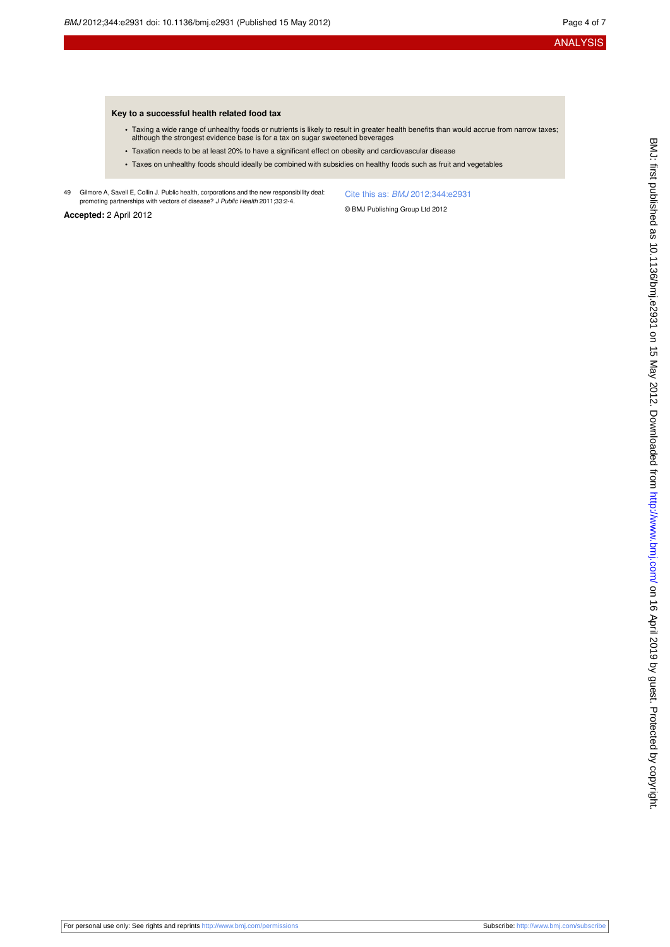#### **Key to a successful health related food tax**

- **•** Taxing a wide range of unhealthy foods or nutrients is likely to result in greater health benefits than would accrue from narrow taxes; although the strongest evidence base is for a tax on sugar sweetened beverages
- **•** Taxation needs to be at least 20% to have a significant effect on obesity and cardiovascular disease
- **•** Taxes on unhealthy foods should ideally be combined with subsidies on healthy foods such as fruit and vegetables
- 49 Gilmore A, Savell E, Collin J. Public health, corporations and the new responsibility deal: promoting partnerships with vectors of disease? J Public Health 2011;33:2-4.

Cite this as: BMJ 2012;344:e2931

**Accepted:** 2 April 2012

© BMJ Publishing Group Ltd 2012

BMJ: first published as 10.1136/bmj.e2931 on 15 May 2012. Downloaded from http://www.bmj.com/ on 16 April 2019 by guest. Protected by copyright BMJ: first published as 10.1136/bmj.e2931 on 15 May 2012. Downloaded from <http://www.bmj.com/> on 16 April 2019 by guest. Protected by copyright.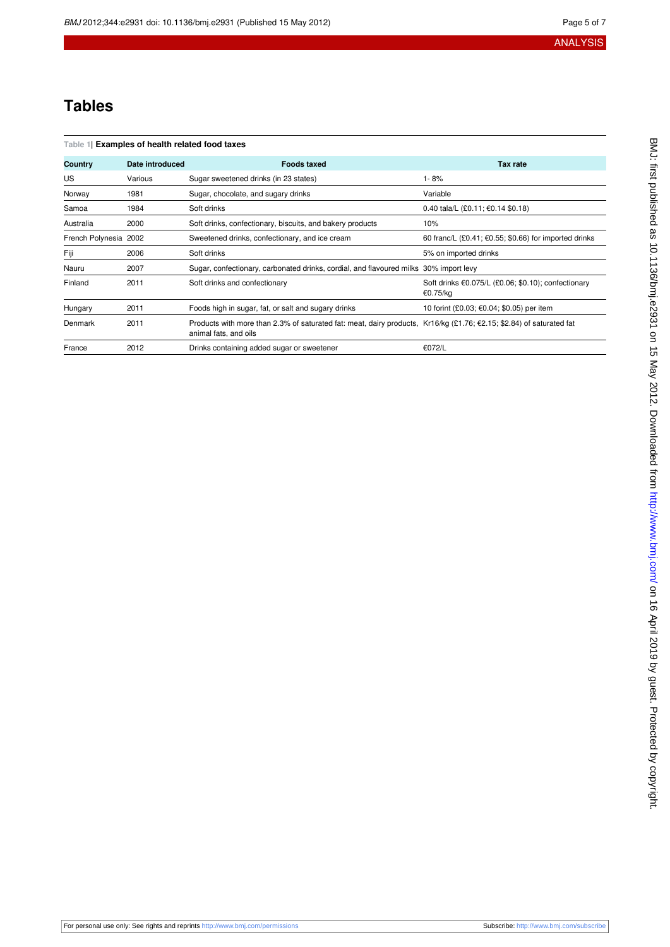# **Tables**

<span id="page-4-0"></span>

|  |  |  |  | Table 1  Examples of health related food taxes |
|--|--|--|--|------------------------------------------------|
|--|--|--|--|------------------------------------------------|

| Country               | Date introduced | <b>Foods taxed</b>                                                                                                                            | <b>Tax rate</b>                                                 |
|-----------------------|-----------------|-----------------------------------------------------------------------------------------------------------------------------------------------|-----------------------------------------------------------------|
| US                    | Various         | Sugar sweetened drinks (in 23 states)                                                                                                         | 1-8%                                                            |
| Norway                | 1981            | Sugar, chocolate, and sugary drinks                                                                                                           | Variable                                                        |
| Samoa                 | 1984            | Soft drinks                                                                                                                                   | 0.40 tala/L (£0.11; €0.14 \$0.18)                               |
| Australia             | 2000            | Soft drinks, confectionary, biscuits, and bakery products                                                                                     | 10%                                                             |
| French Polynesia 2002 |                 | Sweetened drinks, confectionary, and ice cream                                                                                                | 60 franc/L $(£0.41; €0.55; $0.66)$ for imported drinks          |
| Fiji                  | 2006            | Soft drinks                                                                                                                                   | 5% on imported drinks                                           |
| Nauru                 | 2007            | Sugar, confectionary, carbonated drinks, cordial, and flavoured milks 30% import levy                                                         |                                                                 |
| Finland               | 2011            | Soft drinks and confectionary                                                                                                                 | Soft drinks €0.075/L (£0.06; \$0.10); confectionary<br>€0.75/kg |
| Hungary               | 2011            | Foods high in sugar, fat, or salt and sugary drinks                                                                                           | 10 forint (£0.03; €0.04; \$0.05) per item                       |
| Denmark               | 2011            | Products with more than 2.3% of saturated fat: meat, dairy products, Kr16/kg (£1.76; €2.15; \$2.84) of saturated fat<br>animal fats, and oils |                                                                 |
| France                | 2012            | Drinks containing added sugar or sweetener                                                                                                    | €072/L                                                          |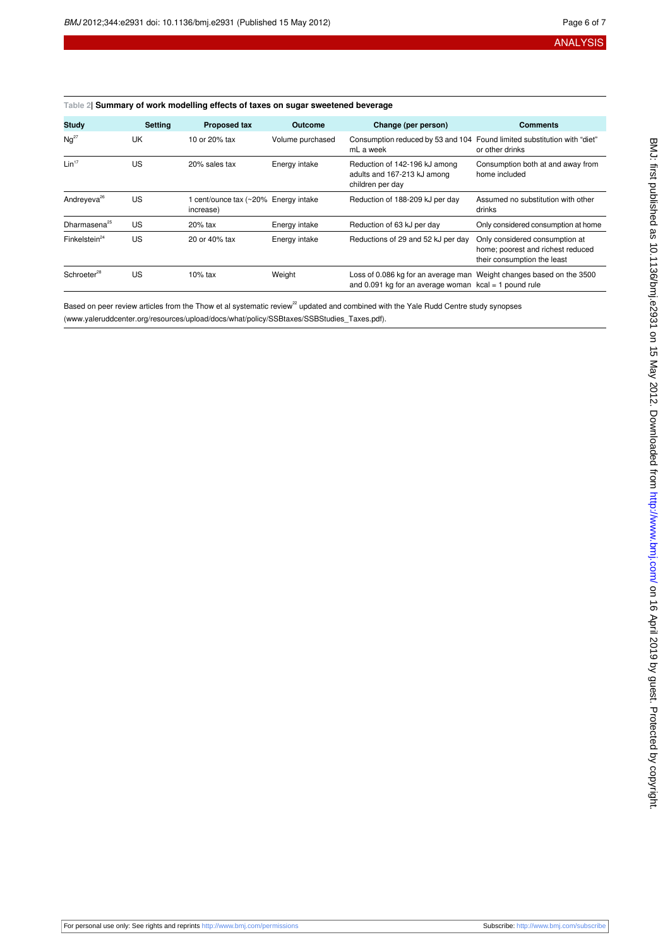#### <span id="page-5-0"></span>**Table 2| Summary of work modelling effects of taxes on sugar sweetened beverage**

| <b>Study</b>                 | <b>Setting</b> | <b>Proposed tax</b>                               | Outcome          | Change (per person)                                                                            | <b>Comments</b>                                                                                    |
|------------------------------|----------------|---------------------------------------------------|------------------|------------------------------------------------------------------------------------------------|----------------------------------------------------------------------------------------------------|
| $Nq^{27}$                    | UK             | 10 or 20% tax                                     | Volume purchased | mL a week                                                                                      | Consumption reduced by 53 and 104 Found limited substitution with "diet"<br>or other drinks        |
| Lin <sup>17</sup>            | US             | 20% sales tax                                     | Energy intake    | Reduction of 142-196 kJ among<br>adults and 167-213 kJ among<br>children per day               | Consumption both at and away from<br>home included                                                 |
| Andreyeva <sup>26</sup>      | US             | 1 cent/ounce tax (~20% Energy intake<br>increase) |                  | Reduction of 188-209 kJ per day                                                                | Assumed no substitution with other<br>drinks                                                       |
| Dharmasena <sup>25</sup>     | US             | 20% tax                                           | Energy intake    | Reduction of 63 kJ per day                                                                     | Only considered consumption at home                                                                |
| $Fin$ kelstein <sup>24</sup> | US             | 20 or 40% tax                                     | Energy intake    | Reductions of 29 and 52 kJ per day                                                             | Only considered consumption at<br>home; poorest and richest reduced<br>their consumption the least |
| Schroeter <sup>28</sup>      | US             | $10\%$ tax                                        | Weight           | Loss of 0.086 kg for an average man<br>and 0.091 kg for an average woman $kcal = 1$ pound rule | Weight changes based on the 3500                                                                   |

Based on peer review articles from the Thow et al systematic review<sup>22</sup> updated and combined with the Yale Rudd Centre study synopses (www.yaleruddcenter.org/resources/upload/docs/what/policy/SSBtaxes/SSBStudies\_Taxes.pdf).